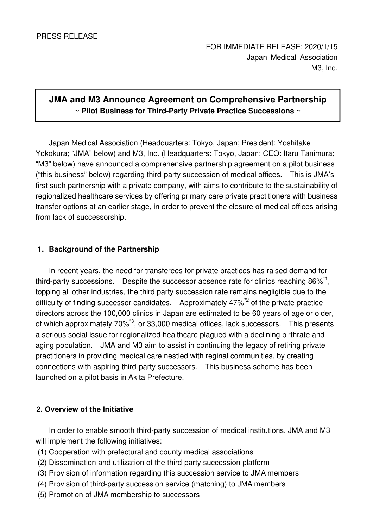# **JMA and M3 Announce Agreement on Comprehensive Partnership ~ Pilot Business for Third-Party Private Practice Successions ~**

Japan Medical Association (Headquarters: Tokyo, Japan; President: Yoshitake Yokokura; "JMA" below) and M3, Inc. (Headquarters: Tokyo, Japan; CEO: Itaru Tanimura; "M3" below) have announced a comprehensive partnership agreement on a pilot business ("this business" below) regarding third-party succession of medical offices. This is JMA's first such partnership with a private company, with aims to contribute to the sustainability of regionalized healthcare services by offering primary care private practitioners with business transfer options at an earlier stage, in order to prevent the closure of medical offices arising from lack of successorship.

## **1. Background of the Partnership**

In recent years, the need for transferees for private practices has raised demand for third-party successions. Despite the successor absence rate for clinics reaching  $86\%^*1$ , topping all other industries, the third party succession rate remains negligible due to the difficulty of finding successor candidates. Approximately 47%<sup>\*2</sup> of the private practice directors across the 100,000 clinics in Japan are estimated to be 60 years of age or older, of which approximately 70%\*3, or 33,000 medical offices, lack successors. This presents a serious social issue for regionalized healthcare plagued with a declining birthrate and aging population. JMA and M3 aim to assist in continuing the legacy of retiring private practitioners in providing medical care nestled with reginal communities, by creating connections with aspiring third-party successors. This business scheme has been launched on a pilot basis in Akita Prefecture.

## **2. Overview of the Initiative**

In order to enable smooth third-party succession of medical institutions, JMA and M3 will implement the following initiatives:

- (1) Cooperation with prefectural and county medical associations
- (2) Dissemination and utilization of the third-party succession platform
- (3) Provision of information regarding this succession service to JMA members
- (4) Provision of third-party succession service (matching) to JMA members
- (5) Promotion of JMA membership to successors